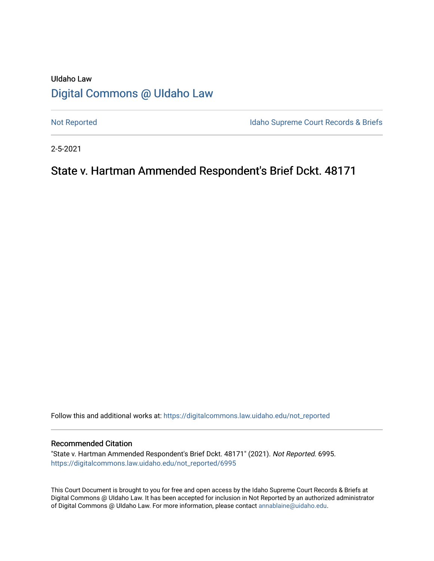# UIdaho Law [Digital Commons @ UIdaho Law](https://digitalcommons.law.uidaho.edu/)

[Not Reported](https://digitalcommons.law.uidaho.edu/not_reported) **Idaho Supreme Court Records & Briefs** 

2-5-2021

## State v. Hartman Ammended Respondent's Brief Dckt. 48171

Follow this and additional works at: [https://digitalcommons.law.uidaho.edu/not\\_reported](https://digitalcommons.law.uidaho.edu/not_reported?utm_source=digitalcommons.law.uidaho.edu%2Fnot_reported%2F6995&utm_medium=PDF&utm_campaign=PDFCoverPages) 

#### Recommended Citation

"State v. Hartman Ammended Respondent's Brief Dckt. 48171" (2021). Not Reported. 6995. [https://digitalcommons.law.uidaho.edu/not\\_reported/6995](https://digitalcommons.law.uidaho.edu/not_reported/6995?utm_source=digitalcommons.law.uidaho.edu%2Fnot_reported%2F6995&utm_medium=PDF&utm_campaign=PDFCoverPages)

This Court Document is brought to you for free and open access by the Idaho Supreme Court Records & Briefs at Digital Commons @ UIdaho Law. It has been accepted for inclusion in Not Reported by an authorized administrator of Digital Commons @ UIdaho Law. For more information, please contact [annablaine@uidaho.edu](mailto:annablaine@uidaho.edu).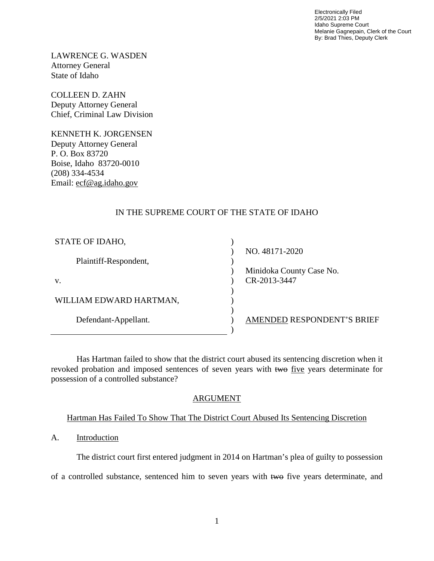Electronically Filed 2/5/2021 2:03 PM Idaho Supreme Court Melanie Gagnepain, Clerk of the Court By: Brad Thies, Deputy Clerk

LAWRENCE G. WASDEN Attorney General State of Idaho

COLLEEN D. ZAHN Deputy Attorney General Chief, Criminal Law Division

KENNETH K. JORGENSEN Deputy Attorney General P. O. Box 83720 Boise, Idaho 83720-0010 (208) 334-4534 Email: ecf@ag.idaho.gov

### IN THE SUPREME COURT OF THE STATE OF IDAHO

| NO. 48171-2020             |
|----------------------------|
|                            |
| Minidoka County Case No.   |
| CR-2013-3447               |
|                            |
|                            |
|                            |
| AMENDED RESPONDENT'S BRIEF |
|                            |
|                            |

Has Hartman failed to show that the district court abused its sentencing discretion when it revoked probation and imposed sentences of seven years with two five years determinate for possession of a controlled substance?

### ARGUMENT

### Hartman Has Failed To Show That The District Court Abused Its Sentencing Discretion

### A. Introduction

The district court first entered judgment in 2014 on Hartman's plea of guilty to possession

of a controlled substance, sentenced him to seven years with two five years determinate, and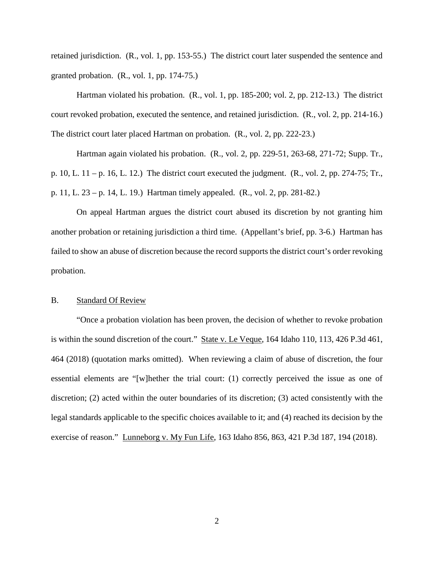retained jurisdiction. (R., vol. 1, pp. 153-55.) The district court later suspended the sentence and granted probation. (R., vol. 1, pp. 174-75.)

Hartman violated his probation. (R., vol. 1, pp. 185-200; vol. 2, pp. 212-13.) The district court revoked probation, executed the sentence, and retained jurisdiction. (R., vol. 2, pp. 214-16.) The district court later placed Hartman on probation. (R., vol. 2, pp. 222-23.)

Hartman again violated his probation. (R., vol. 2, pp. 229-51, 263-68, 271-72; Supp. Tr., p. 10, L. 11 – p. 16, L. 12.) The district court executed the judgment. (R., vol. 2, pp. 274-75; Tr., p. 11, L. 23 – p. 14, L. 19.) Hartman timely appealed. (R., vol. 2, pp. 281-82.)

On appeal Hartman argues the district court abused its discretion by not granting him another probation or retaining jurisdiction a third time. (Appellant's brief, pp. 3-6.) Hartman has failed to show an abuse of discretion because the record supports the district court's order revoking probation.

#### B. Standard Of Review

 "Once a probation violation has been proven, the decision of whether to revoke probation is within the sound discretion of the court." State v. Le Veque, 164 Idaho 110, 113, 426 P.3d 461, 464 (2018) (quotation marks omitted). When reviewing a claim of abuse of discretion, the four essential elements are "[w]hether the trial court: (1) correctly perceived the issue as one of discretion; (2) acted within the outer boundaries of its discretion; (3) acted consistently with the legal standards applicable to the specific choices available to it; and (4) reached its decision by the exercise of reason." Lunneborg v. My Fun Life, 163 Idaho 856, 863, 421 P.3d 187, 194 (2018).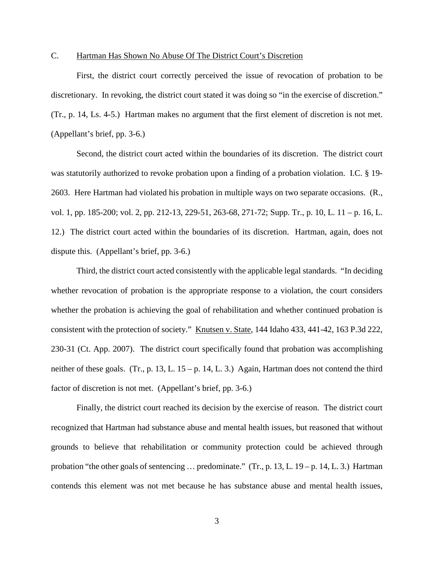#### C. Hartman Has Shown No Abuse Of The District Court's Discretion

First, the district court correctly perceived the issue of revocation of probation to be discretionary. In revoking, the district court stated it was doing so "in the exercise of discretion." (Tr., p. 14, Ls. 4-5.) Hartman makes no argument that the first element of discretion is not met. (Appellant's brief, pp. 3-6.)

 Second, the district court acted within the boundaries of its discretion. The district court was statutorily authorized to revoke probation upon a finding of a probation violation. I.C. § 19- 2603. Here Hartman had violated his probation in multiple ways on two separate occasions. (R., vol. 1, pp. 185-200; vol. 2, pp. 212-13, 229-51, 263-68, 271-72; Supp. Tr., p. 10, L. 11 – p. 16, L. 12.) The district court acted within the boundaries of its discretion. Hartman, again, does not dispute this. (Appellant's brief, pp. 3-6.)

Third, the district court acted consistently with the applicable legal standards. "In deciding whether revocation of probation is the appropriate response to a violation, the court considers whether the probation is achieving the goal of rehabilitation and whether continued probation is consistent with the protection of society." Knutsen v. State, 144 Idaho 433, 441-42, 163 P.3d 222, 230-31 (Ct. App. 2007). The district court specifically found that probation was accomplishing neither of these goals. (Tr., p. 13, L.  $15 - p$ . 14, L. 3.) Again, Hartman does not contend the third factor of discretion is not met. (Appellant's brief, pp. 3-6.)

 Finally, the district court reached its decision by the exercise of reason. The district court recognized that Hartman had substance abuse and mental health issues, but reasoned that without grounds to believe that rehabilitation or community protection could be achieved through probation "the other goals of sentencing … predominate." (Tr., p. 13, L. 19 – p. 14, L. 3.) Hartman contends this element was not met because he has substance abuse and mental health issues,